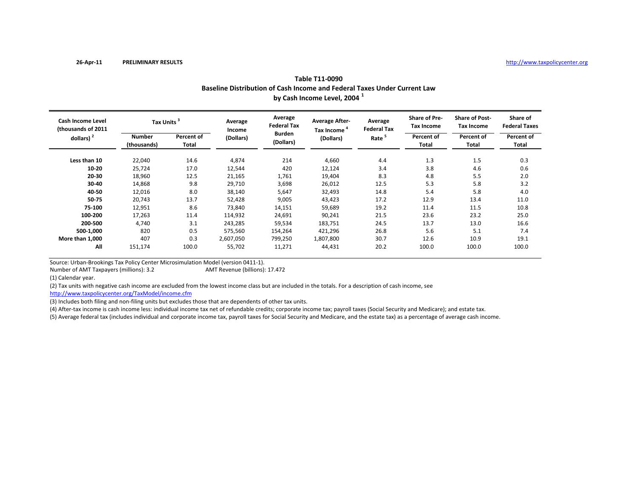|                                                | Baseline Distribution of Cash Income and Federal Taxes Under Current Law<br>by Cash Income Level, 2004 <sup>1</sup> |                     |                   |                               |                                                  |                               |                                           |                                     |                                  |  |  |  |
|------------------------------------------------|---------------------------------------------------------------------------------------------------------------------|---------------------|-------------------|-------------------------------|--------------------------------------------------|-------------------------------|-------------------------------------------|-------------------------------------|----------------------------------|--|--|--|
| <b>Cash Income Level</b><br>thousands of 2011) | Tax Units <sup>3</sup>                                                                                              |                     | Average<br>Income | Average<br><b>Federal Tax</b> | <b>Average After-</b><br>Tax Income <sup>4</sup> | Average<br><b>Federal Tax</b> | <b>Share of Pre-</b><br><b>Tax Income</b> | <b>Share of Post-</b><br>Tax Income | Share of<br><b>Federal Taxes</b> |  |  |  |
| dollars) $2$                                   | <b>Number</b><br>(thousands)                                                                                        | Percent of<br>Total | (Dollars)         | <b>Burden</b><br>(Dollars)    | (Dollars)                                        | Rate <sup>5</sup>             | Percent of<br>Total                       | Percent of<br>Total                 | Percent of<br>Total              |  |  |  |
| Less than 10                                   | 22,040                                                                                                              | 14.6                | 4,874             | 214                           | 4,660                                            | 4.4                           | 1.3                                       | 1.5                                 | 0.3                              |  |  |  |
| 10-20                                          | 25,724                                                                                                              | 17.0                | 12,544            | 420                           | 12,124                                           | 3.4                           | 3.8                                       | 4.6                                 | 0.6                              |  |  |  |
| 20-30                                          | 18,960                                                                                                              | 12.5                | 21,165            | 1,761                         | 19,404                                           | 8.3                           | 4.8                                       | 5.5                                 | 2.0                              |  |  |  |
| 30-40                                          | 14,868                                                                                                              | 9.8                 | 29,710            | 3,698                         | 26,012                                           | 12.5                          | 5.3                                       | 5.8                                 | 3.2                              |  |  |  |
| 40-50                                          | 12,016                                                                                                              | 8.0                 | 38,140            | 5,647                         | 32,493                                           | 14.8                          | 5.4                                       | 5.8                                 | 4.0                              |  |  |  |
| 50-75                                          | 20,743                                                                                                              | 13.7                | 52,428            | 9,005                         | 43,423                                           | 17.2                          | 12.9                                      | 13.4                                | 11.0                             |  |  |  |
| 75-100                                         | 12,951                                                                                                              | 8.6                 | 73,840            | 14,151                        | 59,689                                           | 19.2                          | 11.4                                      | 11.5                                | 10.8                             |  |  |  |
| 100-200                                        | 17,263                                                                                                              | 11.4                | 114,932           | 24,691                        | 90,241                                           | 21.5                          | 23.6                                      | 23.2                                | 25.0                             |  |  |  |
| 200-500                                        | 4,740                                                                                                               | 3.1                 | 243,285           | 59,534                        | 183,751                                          | 24.5                          | 13.7                                      | 13.0                                | 16.6                             |  |  |  |
| 500-1,000                                      | 820                                                                                                                 | 0.5                 | 575,560           | 154,264                       | 421,296                                          | 26.8                          | 5.6                                       | 5.1                                 | 7.4                              |  |  |  |
| More than 1,000                                | 407                                                                                                                 | 0.3                 | 2,607,050         | 799,250                       | 1,807,800                                        | 30.7                          | 12.6                                      | 10.9                                | 19.1                             |  |  |  |
| All                                            | 151,174                                                                                                             | 100.0               | 55,702            | 11,271                        | 44,431                                           | 20.2                          | 100.0                                     | 100.0                               | 100.0                            |  |  |  |

**Table T11‐0090**

Number of AMTAMT Revenue (billions): 17.472

(1) Calendar year.

(2) Tax units with negative cash income are excluded from the lowest income class but are included in the totals. For <sup>a</sup> description of cash income, see

http://www.taxpolicycenter.org/TaxModel/income.cfm

(3) Includes both filing and non-filing units but excludes those that are dependents of other tax units.

(4) After-tax income is cash income less: individual income tax net of refundable credits; corporate income tax; payroll taxes (Social Security and Medicare); and estate tax.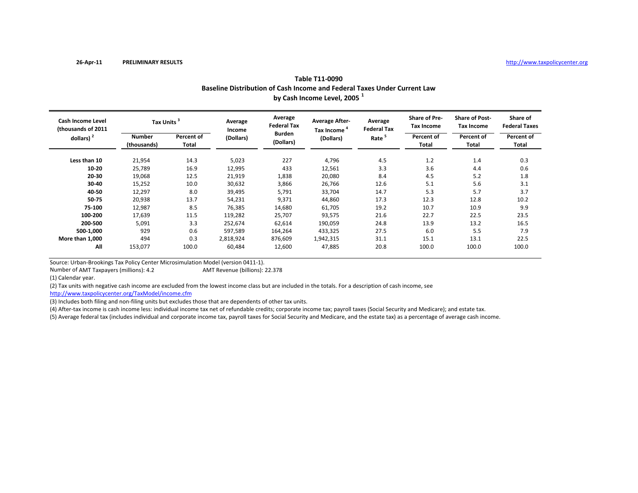|                                                | Baseline Distribution of Cash Income and Federal Taxes Under Current Law<br>by Cash Income Level, 2005 <sup>1</sup> |                     |                   |                               |                                                  |                               |                                           |                                            |                                  |  |  |  |  |
|------------------------------------------------|---------------------------------------------------------------------------------------------------------------------|---------------------|-------------------|-------------------------------|--------------------------------------------------|-------------------------------|-------------------------------------------|--------------------------------------------|----------------------------------|--|--|--|--|
| <b>Cash Income Level</b><br>thousands of 2011) | Tax Units <sup>3</sup>                                                                                              |                     | Average<br>Income | Average<br><b>Federal Tax</b> | <b>Average After-</b><br>Tax Income <sup>4</sup> | Average<br><b>Federal Tax</b> | <b>Share of Pre-</b><br><b>Tax Income</b> | <b>Share of Post-</b><br><b>Tax Income</b> | Share of<br><b>Federal Taxes</b> |  |  |  |  |
| dollars) $2$                                   | <b>Number</b><br>(thousands)                                                                                        | Percent of<br>Total | (Dollars)         | <b>Burden</b><br>(Dollars)    | (Dollars)                                        | Rate <sup>5</sup>             | Percent of<br>Total                       | Percent of<br>Total                        | Percent of<br>Total              |  |  |  |  |
| Less than 10                                   | 21,954                                                                                                              | 14.3                | 5,023             | 227                           | 4,796                                            | 4.5                           | 1.2                                       | 1.4                                        | 0.3                              |  |  |  |  |
| $10 - 20$                                      | 25,789                                                                                                              | 16.9                | 12,995            | 433                           | 12,561                                           | 3.3                           | 3.6                                       | 4.4                                        | 0.6                              |  |  |  |  |
| 20-30                                          | 19,068                                                                                                              | 12.5                | 21,919            | 1,838                         | 20,080                                           | 8.4                           | 4.5                                       | 5.2                                        | 1.8                              |  |  |  |  |
| 30-40                                          | 15,252                                                                                                              | 10.0                | 30,632            | 3,866                         | 26,766                                           | 12.6                          | 5.1                                       | 5.6                                        | 3.1                              |  |  |  |  |
| 40-50                                          | 12,297                                                                                                              | 8.0                 | 39,495            | 5,791                         | 33,704                                           | 14.7                          | 5.3                                       | 5.7                                        | 3.7                              |  |  |  |  |
| 50-75                                          | 20,938                                                                                                              | 13.7                | 54,231            | 9,371                         | 44,860                                           | 17.3                          | 12.3                                      | 12.8                                       | 10.2                             |  |  |  |  |
| 75-100                                         | 12,987                                                                                                              | 8.5                 | 76,385            | 14,680                        | 61,705                                           | 19.2                          | 10.7                                      | 10.9                                       | 9.9                              |  |  |  |  |
| 100-200                                        | 17,639                                                                                                              | 11.5                | 119,282           | 25,707                        | 93,575                                           | 21.6                          | 22.7                                      | 22.5                                       | 23.5                             |  |  |  |  |
| 200-500                                        | 5,091                                                                                                               | 3.3                 | 252,674           | 62,614                        | 190,059                                          | 24.8                          | 13.9                                      | 13.2                                       | 16.5                             |  |  |  |  |
| 500-1,000                                      | 929                                                                                                                 | 0.6                 | 597,589           | 164,264                       | 433,325                                          | 27.5                          | 6.0                                       | 5.5                                        | 7.9                              |  |  |  |  |
| More than 1,000                                | 494                                                                                                                 | 0.3                 | 2,818,924         | 876,609                       | 1,942,315                                        | 31.1                          | 15.1                                      | 13.1                                       | 22.5                             |  |  |  |  |
| All                                            | 153,077                                                                                                             | 100.0               | 60,484            | 12,600                        | 47,885                                           | 20.8                          | 100.0                                     | 100.0                                      | 100.0                            |  |  |  |  |

**Table T11‐0090**

Number of AMT

AMT Revenue (billions): 22.378

(1) Calendar year.

(2) Tax units with negative cash income are excluded from the lowest income class but are included in the totals. For <sup>a</sup> description of cash income, see

http://www.taxpolicycenter.org/TaxModel/income.cfm

(3) Includes both filing and non-filing units but excludes those that are dependents of other tax units.

(4) After-tax income is cash income less: individual income tax net of refundable credits; corporate income tax; payroll taxes (Social Security and Medicare); and estate tax.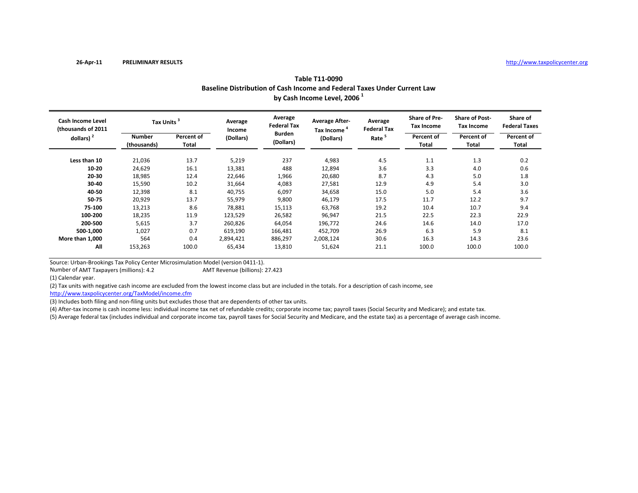| Baseline Distribution of Cash Income and Federal Taxes Under Current Law<br>by Cash Income Level, 2006 <sup>1</sup> |                              |                     |                   |                               |                                                  |                               |                                           |                                            |                                  |  |
|---------------------------------------------------------------------------------------------------------------------|------------------------------|---------------------|-------------------|-------------------------------|--------------------------------------------------|-------------------------------|-------------------------------------------|--------------------------------------------|----------------------------------|--|
| <b>Cash Income Level</b><br>(thousands of 2011<br>dollars) $2$                                                      | Tax Units <sup>3</sup>       |                     | Average<br>Income | Average<br><b>Federal Tax</b> | <b>Average After-</b><br>Tax Income <sup>4</sup> | Average<br><b>Federal Tax</b> | <b>Share of Pre-</b><br><b>Tax Income</b> | <b>Share of Post-</b><br><b>Tax Income</b> | Share of<br><b>Federal Taxes</b> |  |
|                                                                                                                     | <b>Number</b><br>(thousands) | Percent of<br>Total | (Dollars)         | <b>Burden</b><br>(Dollars)    | (Dollars)                                        | Rate <sup>5</sup>             | Percent of<br>Total                       | Percent of<br>Total                        | Percent of<br>Total              |  |
| Less than 10                                                                                                        | 21,036                       | 13.7                | 5,219             | 237                           | 4,983                                            | 4.5                           | 1.1                                       | 1.3                                        | 0.2                              |  |
| 10-20                                                                                                               | 24,629                       | 16.1                | 13,381            | 488                           | 12,894                                           | 3.6                           | 3.3                                       | 4.0                                        | 0.6                              |  |
| 20-30                                                                                                               | 18,985                       | 12.4                | 22,646            | 1,966                         | 20,680                                           | 8.7                           | 4.3                                       | 5.0                                        | 1.8                              |  |
| 30-40                                                                                                               | 15,590                       | 10.2                | 31,664            | 4,083                         | 27,581                                           | 12.9                          | 4.9                                       | 5.4                                        | 3.0                              |  |
| 40-50                                                                                                               | 12,398                       | 8.1                 | 40,755            | 6,097                         | 34,658                                           | 15.0                          | 5.0                                       | 5.4                                        | 3.6                              |  |
| 50-75                                                                                                               | 20,929                       | 13.7                | 55,979            | 9,800                         | 46,179                                           | 17.5                          | 11.7                                      | 12.2                                       | 9.7                              |  |
| 75-100                                                                                                              | 13,213                       | 8.6                 | 78,881            | 15,113                        | 63,768                                           | 19.2                          | 10.4                                      | 10.7                                       | 9.4                              |  |
| 100-200                                                                                                             | 18,235                       | 11.9                | 123,529           | 26,582                        | 96,947                                           | 21.5                          | 22.5                                      | 22.3                                       | 22.9                             |  |
| 200-500                                                                                                             | 5,615                        | 3.7                 | 260,826           | 64,054                        | 196,772                                          | 24.6                          | 14.6                                      | 14.0                                       | 17.0                             |  |
| 500-1,000                                                                                                           | 1,027                        | 0.7                 | 619,190           | 166,481                       | 452,709                                          | 26.9                          | 6.3                                       | 5.9                                        | 8.1                              |  |
| More than 1,000                                                                                                     | 564                          | 0.4                 | 2,894,421         | 886,297                       | 2,008,124                                        | 30.6                          | 16.3                                      | 14.3                                       | 23.6                             |  |
| All                                                                                                                 | 153,263                      | 100.0               | 65,434            | 13,810                        | 51,624                                           | 21.1                          | 100.0                                     | 100.0                                      | 100.0                            |  |

| Table T11-0090                                                           |
|--------------------------------------------------------------------------|
| Baseline Distribution of Cash Income and Federal Taxes Under Current Law |
| by Cash Income Level, 2006 <sup>1</sup>                                  |

Number of AMT

(1) Calendar year.

(2) Tax units with negative cash income are excluded from the lowest income class but are included in the totals. For <sup>a</sup> description of cash income, see AMT Revenue (billions): 27.423

http://www.taxpolicycenter.org/TaxModel/income.cfm

(3) Includes both filing and non-filing units but excludes those that are dependents of other tax units.

(4) After-tax income is cash income less: individual income tax net of refundable credits; corporate income tax; payroll taxes (Social Security and Medicare); and estate tax.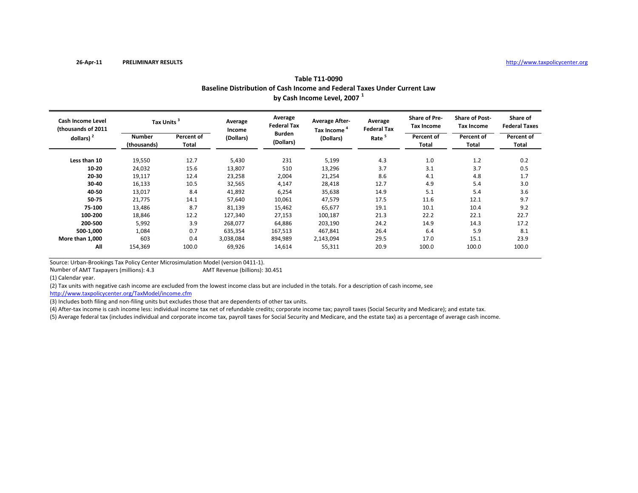| Baseline Distribution of Cash Income and Federal Taxes Under Current Law<br>by Cash Income Level, 2007 <sup>1</sup> |                              |                     |                   |                               |                                                  |                               |                                           |                                            |                                  |
|---------------------------------------------------------------------------------------------------------------------|------------------------------|---------------------|-------------------|-------------------------------|--------------------------------------------------|-------------------------------|-------------------------------------------|--------------------------------------------|----------------------------------|
| <b>Cash Income Level</b><br>(thousands of 2011                                                                      | Tax Units <sup>3</sup>       |                     | Average<br>Income | Average<br><b>Federal Tax</b> | <b>Average After-</b><br>Tax Income <sup>4</sup> | Average<br><b>Federal Tax</b> | <b>Share of Pre-</b><br><b>Tax Income</b> | <b>Share of Post-</b><br><b>Tax Income</b> | Share of<br><b>Federal Taxes</b> |
| dollars) $2$                                                                                                        | <b>Number</b><br>(thousands) | Percent of<br>Total | (Dollars)         | <b>Burden</b><br>(Dollars)    | (Dollars)                                        | Rate <sup>5</sup>             | Percent of<br>Total                       | Percent of<br>Total                        | Percent of<br>Total              |
| Less than 10                                                                                                        | 19,550                       | 12.7                | 5,430             | 231                           | 5,199                                            | 4.3                           | 1.0                                       | 1.2                                        | 0.2                              |
| 10-20                                                                                                               | 24,032                       | 15.6                | 13,807            | 510                           | 13,296                                           | 3.7                           | 3.1                                       | 3.7                                        | 0.5                              |
| 20-30                                                                                                               | 19,117                       | 12.4                | 23,258            | 2,004                         | 21,254                                           | 8.6                           | 4.1                                       | 4.8                                        | 1.7                              |
| 30-40                                                                                                               | 16,133                       | 10.5                | 32,565            | 4,147                         | 28,418                                           | 12.7                          | 4.9                                       | 5.4                                        | 3.0                              |
| 40-50                                                                                                               | 13,017                       | 8.4                 | 41,892            | 6,254                         | 35,638                                           | 14.9                          | 5.1                                       | 5.4                                        | 3.6                              |
| 50-75                                                                                                               | 21,775                       | 14.1                | 57,640            | 10,061                        | 47,579                                           | 17.5                          | 11.6                                      | 12.1                                       | 9.7                              |
| 75-100                                                                                                              | 13,486                       | 8.7                 | 81,139            | 15,462                        | 65,677                                           | 19.1                          | 10.1                                      | 10.4                                       | 9.2                              |
| 100-200                                                                                                             | 18,846                       | 12.2                | 127,340           | 27,153                        | 100,187                                          | 21.3                          | 22.2                                      | 22.1                                       | 22.7                             |
| 200-500                                                                                                             | 5,992                        | 3.9                 | 268,077           | 64,886                        | 203,190                                          | 24.2                          | 14.9                                      | 14.3                                       | 17.2                             |
| 500-1,000                                                                                                           | 1,084                        | 0.7                 | 635,354           | 167,513                       | 467,841                                          | 26.4                          | 6.4                                       | 5.9                                        | 8.1                              |
| More than 1,000                                                                                                     | 603                          | 0.4                 | 3,038,084         | 894,989                       | 2,143,094                                        | 29.5                          | 17.0                                      | 15.1                                       | 23.9                             |
| All                                                                                                                 | 154,369                      | 100.0               | 69,926            | 14,614                        | 55,311                                           | 20.9                          | 100.0                                     | 100.0                                      | 100.0                            |

**Table T11‐0090**

Number of AMT

(1) Calendar year.

(2) Tax units with negative cash income are excluded from the lowest income class but are included in the totals. For <sup>a</sup> description of cash income, see AMT Revenue (billions): 30.451

http://www.taxpolicycenter.org/TaxModel/income.cfm

(3) Includes both filing and non-filing units but excludes those that are dependents of other tax units.

(4) After-tax income is cash income less: individual income tax net of refundable credits; corporate income tax; payroll taxes (Social Security and Medicare); and estate tax.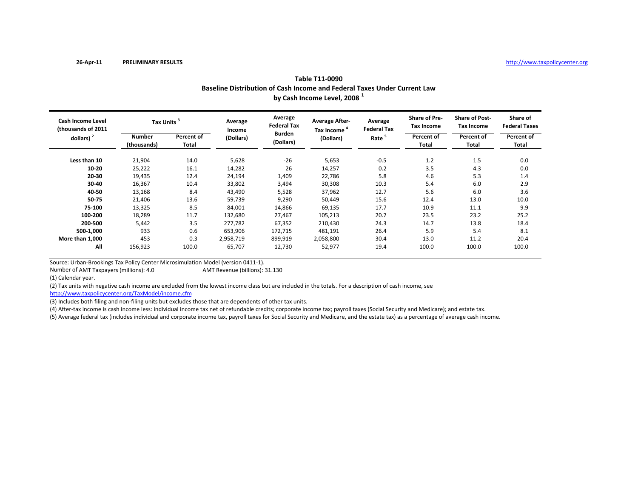| Baseline Distribution of Cash Income and Federal Taxes Under Current Law<br>by Cash Income Level, 2008 <sup>1</sup> |                              |                     |                   |                               |                                                  |                               |                                    |                                            |                                  |  |
|---------------------------------------------------------------------------------------------------------------------|------------------------------|---------------------|-------------------|-------------------------------|--------------------------------------------------|-------------------------------|------------------------------------|--------------------------------------------|----------------------------------|--|
| <b>Cash Income Level</b><br>(thousands of 2011<br>dollars) $2$                                                      | Tax Units <sup>3</sup>       |                     | Average<br>Income | Average<br><b>Federal Tax</b> | <b>Average After-</b><br>Tax Income <sup>4</sup> | Average<br><b>Federal Tax</b> | <b>Share of Pre-</b><br>Tax Income | <b>Share of Post-</b><br><b>Tax Income</b> | Share of<br><b>Federal Taxes</b> |  |
|                                                                                                                     | <b>Number</b><br>(thousands) | Percent of<br>Total | (Dollars)         | <b>Burden</b><br>(Dollars)    | (Dollars)                                        | Rate <sup>5</sup>             | Percent of<br>Total                | Percent of<br>Total                        | Percent of<br>Total              |  |
| Less than 10                                                                                                        | 21,904                       | 14.0                | 5,628             | $-26$                         | 5,653                                            | $-0.5$                        | 1.2                                | 1.5                                        | 0.0                              |  |
| 10-20                                                                                                               | 25,222                       | 16.1                | 14,282            | 26                            | 14,257                                           | 0.2                           | 3.5                                | 4.3                                        | 0.0                              |  |
| 20-30                                                                                                               | 19,435                       | 12.4                | 24,194            | 1,409                         | 22,786                                           | 5.8                           | 4.6                                | 5.3                                        | 1.4                              |  |
| 30-40                                                                                                               | 16,367                       | 10.4                | 33,802            | 3,494                         | 30,308                                           | 10.3                          | 5.4                                | 6.0                                        | 2.9                              |  |
| 40-50                                                                                                               | 13,168                       | 8.4                 | 43,490            | 5,528                         | 37,962                                           | 12.7                          | 5.6                                | 6.0                                        | 3.6                              |  |
| 50-75                                                                                                               | 21,406                       | 13.6                | 59,739            | 9,290                         | 50,449                                           | 15.6                          | 12.4                               | 13.0                                       | 10.0                             |  |
| 75-100                                                                                                              | 13,325                       | 8.5                 | 84,001            | 14,866                        | 69,135                                           | 17.7                          | 10.9                               | 11.1                                       | 9.9                              |  |
| 100-200                                                                                                             | 18,289                       | 11.7                | 132,680           | 27,467                        | 105,213                                          | 20.7                          | 23.5                               | 23.2                                       | 25.2                             |  |
| 200-500                                                                                                             | 5,442                        | 3.5                 | 277,782           | 67,352                        | 210,430                                          | 24.3                          | 14.7                               | 13.8                                       | 18.4                             |  |
| 500-1,000                                                                                                           | 933                          | 0.6                 | 653,906           | 172,715                       | 481,191                                          | 26.4                          | 5.9                                | 5.4                                        | 8.1                              |  |
| More than 1,000                                                                                                     | 453                          | 0.3                 | 2,958,719         | 899,919                       | 2,058,800                                        | 30.4                          | 13.0                               | 11.2                                       | 20.4                             |  |
| All                                                                                                                 | 156,923                      | 100.0               | 65,707            | 12,730                        | 52,977                                           | 19.4                          | 100.0                              | 100.0                                      | 100.0                            |  |

**Table T11‐0090**

Number of AMT

AMT Revenue (billions): 31.130

(1) Calendar year.

(2) Tax units with negative cash income are excluded from the lowest income class but are included in the totals. For <sup>a</sup> description of cash income, see

http://www.taxpolicycenter.org/TaxModel/income.cfm

(3) Includes both filing and non‐filing units but excludes those that are dependents of other tax units.

(4) After-tax income is cash income less: individual income tax net of refundable credits; corporate income tax; payroll taxes (Social Security and Medicare); and estate tax.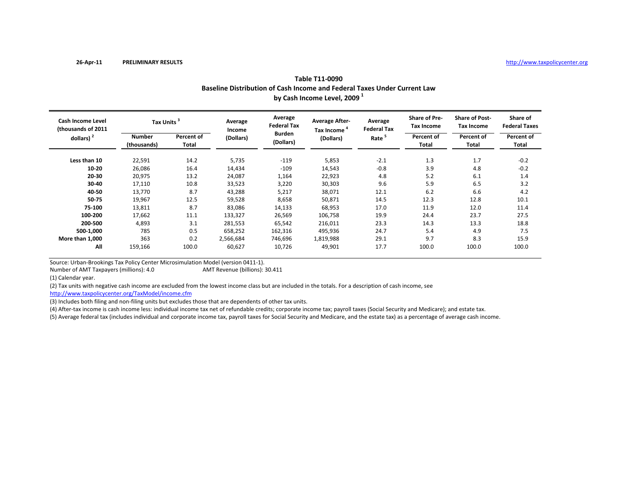|                                                |                              | Baseline Distribution of Cash Income and Federal Taxes Under Current Law<br>by Cash Income Level, 2009 <sup>1</sup> |                   |                               |                                       |                               |                                           |                                            |                                  |  |  |  |  |
|------------------------------------------------|------------------------------|---------------------------------------------------------------------------------------------------------------------|-------------------|-------------------------------|---------------------------------------|-------------------------------|-------------------------------------------|--------------------------------------------|----------------------------------|--|--|--|--|
| <b>Cash Income Level</b><br>thousands of 2011) | Tax Units <sup>3</sup>       |                                                                                                                     | Average<br>Income | Average<br><b>Federal Tax</b> | <b>Average After-</b><br>Tax Income " | Average<br><b>Federal Tax</b> | <b>Share of Pre-</b><br><b>Tax Income</b> | <b>Share of Post-</b><br><b>Tax Income</b> | Share of<br><b>Federal Taxes</b> |  |  |  |  |
| dollars) $2$                                   | <b>Number</b><br>(thousands) | Percent of<br>Total                                                                                                 | (Dollars)         | Burden<br>(Dollars)           | (Dollars)                             | Rate <sup>5</sup>             | Percent of<br>Total                       | Percent of<br><b>Total</b>                 | Percent of<br>Total              |  |  |  |  |
| Less than 10                                   | 22,591                       | 14.2                                                                                                                | 5,735             | $-119$                        | 5,853                                 | $-2.1$                        | 1.3                                       | 1.7                                        | $-0.2$                           |  |  |  |  |
| $10 - 20$                                      | 26,086                       | 16.4                                                                                                                | 14,434            | $-109$                        | 14,543                                | $-0.8$                        | 3.9                                       | 4.8                                        | $-0.2$                           |  |  |  |  |
| 20-30                                          | 20,975                       | 13.2                                                                                                                | 24,087            | 1,164                         | 22,923                                | 4.8                           | 5.2                                       | 6.1                                        | 1.4                              |  |  |  |  |
| 30-40                                          | 17,110                       | 10.8                                                                                                                | 33,523            | 3,220                         | 30,303                                | 9.6                           | 5.9                                       | 6.5                                        | 3.2                              |  |  |  |  |
| 40-50                                          | 13,770                       | 8.7                                                                                                                 | 43,288            | 5,217                         | 38,071                                | 12.1                          | 6.2                                       | 6.6                                        | 4.2                              |  |  |  |  |
| 50-75                                          | 19,967                       | 12.5                                                                                                                | 59,528            | 8,658                         | 50,871                                | 14.5                          | 12.3                                      | 12.8                                       | 10.1                             |  |  |  |  |
| 75-100                                         | 13,811                       | 8.7                                                                                                                 | 83,086            | 14,133                        | 68,953                                | 17.0                          | 11.9                                      | 12.0                                       | 11.4                             |  |  |  |  |
| 100-200                                        | 17,662                       | 11.1                                                                                                                | 133,327           | 26,569                        | 106,758                               | 19.9                          | 24.4                                      | 23.7                                       | 27.5                             |  |  |  |  |
| 200-500                                        | 4,893                        | 3.1                                                                                                                 | 281,553           | 65,542                        | 216,011                               | 23.3                          | 14.3                                      | 13.3                                       | 18.8                             |  |  |  |  |
| 500-1,000                                      | 785                          | 0.5                                                                                                                 | 658,252           | 162,316                       | 495,936                               | 24.7                          | 5.4                                       | 4.9                                        | 7.5                              |  |  |  |  |
| More than 1,000                                | 363                          | 0.2                                                                                                                 | 2,566,684         | 746,696                       | 1,819,988                             | 29.1                          | 9.7                                       | 8.3                                        | 15.9                             |  |  |  |  |
| All                                            | 159,166                      | 100.0                                                                                                               | 60,627            | 10,726                        | 49,901                                | 17.7                          | 100.0                                     | 100.0                                      | 100.0                            |  |  |  |  |

**Table T11‐0090**

Number of AMT

AMT Revenue (billions): 30.411

(1) Calendar year.

(2) Tax units with negative cash income are excluded from the lowest income class but are included in the totals. For <sup>a</sup> description of cash income, see

http://www.taxpolicycenter.org/TaxModel/income.cfm

(3) Includes both filing and non-filing units but excludes those that are dependents of other tax units.

(4) After‐tax income is cash income less: individual income tax net of refundable credits; corporate income tax; payroll taxes (Social Security and Medicare); and estate tax.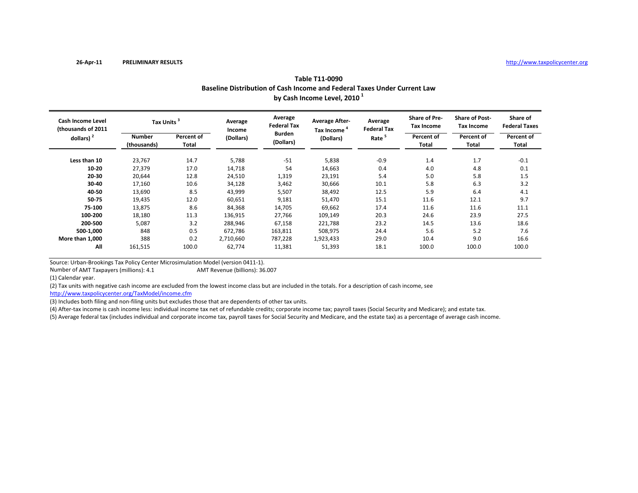| Baseline Distribution of Cash Income and Federal Taxes Under Current Law<br>by Cash Income Level, 2010 <sup>1</sup> |                              |                     |                   |                               |                                                  |                               |                                           |                                            |                                  |  |
|---------------------------------------------------------------------------------------------------------------------|------------------------------|---------------------|-------------------|-------------------------------|--------------------------------------------------|-------------------------------|-------------------------------------------|--------------------------------------------|----------------------------------|--|
| <b>Cash Income Level</b><br>thousands of 2011)<br>dollars) $2$                                                      | Tax Units <sup>3</sup>       |                     | Average<br>Income | Average<br><b>Federal Tax</b> | <b>Average After-</b><br>Tax Income <sup>4</sup> | Average<br><b>Federal Tax</b> | <b>Share of Pre-</b><br><b>Tax Income</b> | <b>Share of Post-</b><br><b>Tax Income</b> | Share of<br><b>Federal Taxes</b> |  |
|                                                                                                                     | <b>Number</b><br>(thousands) | Percent of<br>Total | (Dollars)         | <b>Burden</b><br>(Dollars)    | (Dollars)                                        | Rate <sup>5</sup>             | Percent of<br><b>Total</b>                | Percent of<br>Total                        | Percent of<br>Total              |  |
| Less than 10                                                                                                        | 23,767                       | 14.7                | 5,788             | $-51$                         | 5,838                                            | $-0.9$                        | 1.4                                       | 1.7                                        | $-0.1$                           |  |
| 10-20                                                                                                               | 27,379                       | 17.0                | 14,718            | 54                            | 14,663                                           | 0.4                           | 4.0                                       | 4.8                                        | 0.1                              |  |
| 20-30                                                                                                               | 20,644                       | 12.8                | 24,510            | 1,319                         | 23,191                                           | 5.4                           | 5.0                                       | 5.8                                        | 1.5                              |  |
| 30-40                                                                                                               | 17,160                       | 10.6                | 34,128            | 3,462                         | 30,666                                           | 10.1                          | 5.8                                       | 6.3                                        | 3.2                              |  |
| 40-50                                                                                                               | 13,690                       | 8.5                 | 43,999            | 5,507                         | 38,492                                           | 12.5                          | 5.9                                       | 6.4                                        | 4.1                              |  |
| 50-75                                                                                                               | 19,435                       | 12.0                | 60,651            | 9,181                         | 51,470                                           | 15.1                          | 11.6                                      | 12.1                                       | 9.7                              |  |
| 75-100                                                                                                              | 13,875                       | 8.6                 | 84,368            | 14,705                        | 69,662                                           | 17.4                          | 11.6                                      | 11.6                                       | 11.1                             |  |
| 100-200                                                                                                             | 18,180                       | 11.3                | 136,915           | 27,766                        | 109,149                                          | 20.3                          | 24.6                                      | 23.9                                       | 27.5                             |  |
| 200-500                                                                                                             | 5,087                        | 3.2                 | 288,946           | 67,158                        | 221,788                                          | 23.2                          | 14.5                                      | 13.6                                       | 18.6                             |  |
| 500-1,000                                                                                                           | 848                          | 0.5                 | 672,786           | 163,811                       | 508,975                                          | 24.4                          | 5.6                                       | 5.2                                        | 7.6                              |  |
| More than 1,000                                                                                                     | 388                          | 0.2                 | 2,710,660         | 787,228                       | 1,923,433                                        | 29.0                          | 10.4                                      | 9.0                                        | 16.6                             |  |
| All                                                                                                                 | 161,515                      | 100.0               | 62,774            | 11,381                        | 51,393                                           | 18.1                          | 100.0                                     | 100.0                                      | 100.0                            |  |

## **Table T11‐0090**

Source: Urban‐Brookings Tax Policy Center Microsimulation Model (version 0411‐1).

Number of AMTAMT Revenue (billions): 36.007

(1) Calendar year.

(2) Tax units with negative cash income are excluded from the lowest income class but are included in the totals. For <sup>a</sup> description of cash income, see

http://www.taxpolicycenter.org/TaxModel/income.cfm

(3) Includes both filing and non-filing units but excludes those that are dependents of other tax units.

(4) After-tax income is cash income less: individual income tax net of refundable credits; corporate income tax; payroll taxes (Social Security and Medicare); and estate tax.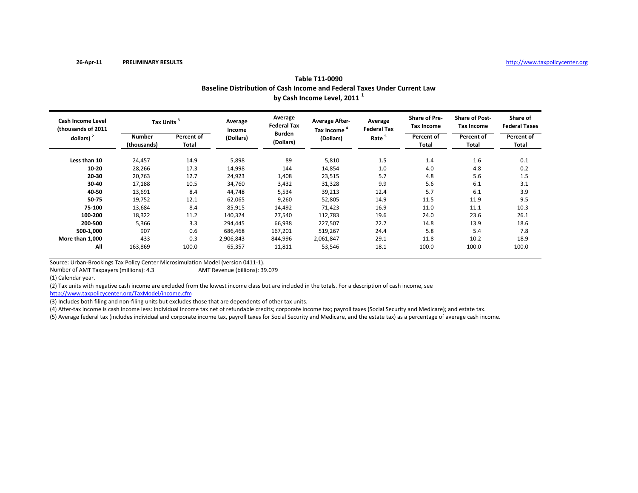|                                          |                        | Baseline Distribution of Cash Income and Federal Taxes Under Current Law<br>by Cash Income Level, 2011 <sup>1</sup> |                   |                               |                                       |                               |                                           |                                            |                                  |  |  |  |  |  |
|------------------------------------------|------------------------|---------------------------------------------------------------------------------------------------------------------|-------------------|-------------------------------|---------------------------------------|-------------------------------|-------------------------------------------|--------------------------------------------|----------------------------------|--|--|--|--|--|
| Cash Income Level<br>(thousands of 2011) | Tax Units <sup>3</sup> |                                                                                                                     | Average<br>Income | Average<br><b>Federal Tax</b> | <b>Average After-</b><br>Tax Income " | Average<br><b>Federal Tax</b> | <b>Share of Pre-</b><br><b>Tax Income</b> | <b>Share of Post-</b><br><b>Tax Income</b> | Share of<br><b>Federal Taxes</b> |  |  |  |  |  |
| dollars) $2$                             | Number<br>(thousands)  | Percent of<br>Total                                                                                                 | (Dollars)         | Burden<br>(Dollars)           | (Dollars)                             | Rate <sup>3</sup>             | Percent of<br>Total                       | Percent of<br>Total                        | Percent of<br>Total              |  |  |  |  |  |
| Less than 10                             | 24.457                 | 14.9                                                                                                                | 5.898             | 89                            | 5,810                                 | 1.5                           | 1.4                                       | 1.6                                        | 0.1                              |  |  |  |  |  |
| $10 - 20$                                | 28.266                 | 17.3                                                                                                                | 14,998            | 144                           | 14.854                                | 1.0                           | 4.0                                       | 4.8                                        | 0.2                              |  |  |  |  |  |

20,763 12.7 24,923 1,408 23,515 5.7 4.8 5.6 1.5

17,188 10.5 34,760 3,432 31,328 9.9 5.6 6.1 3.1

13,691 8.4 44,748 5,534 39,213 12.4 5.7 6.1 3.9

19,752 12.1 62,065 9,260 52,805 14.9 11.5 11.9 9.5

13,684 8.4 85,915 14,492 71,423 16.9 11.0 11.1 10.3

18,322 11.2 140,324 27,540 112,783 19.6 24.0 23.6 26.1

 5,366 3.3 294,445 66,938 227,507 22.7 14.8 13.9 18.6 **500‐1,000** 907 0.6 686,468 167,201 519,267 24.4 5.8 5.4 7.8

163,869 100.0 65,357 11,811 53,546 18.1 100.0 100.0 100.0

**11,000** 433 0.3 2,906,843 844,996 2,061,847 29.1 11.8 10.2 18.9

## **Table T11‐0090**

Source: Urban‐Brookings Tax Policy Center Microsimulation Model (version 0411‐1).

Number of AMT

(1) Calendar year.

**More than**

**20‐30**

**30‐40**

**40‐50**

**50‐75**

**75‐100**

**100‐200**

**200‐500**

**All**

(2) Tax units with negative cash income are excluded from the lowest income class but are included in the totals. For <sup>a</sup> description of cash income, see

AMT Revenue (billions): 39.079

http://www.taxpolicycenter.org/TaxModel/income.cfm

(3) Includes both filing and non-filing units but excludes those that are dependents of other tax units.

(4) After‐tax income is cash income less: individual income tax net of refundable credits; corporate income tax; payroll taxes (Social Security and Medicare); and estate tax.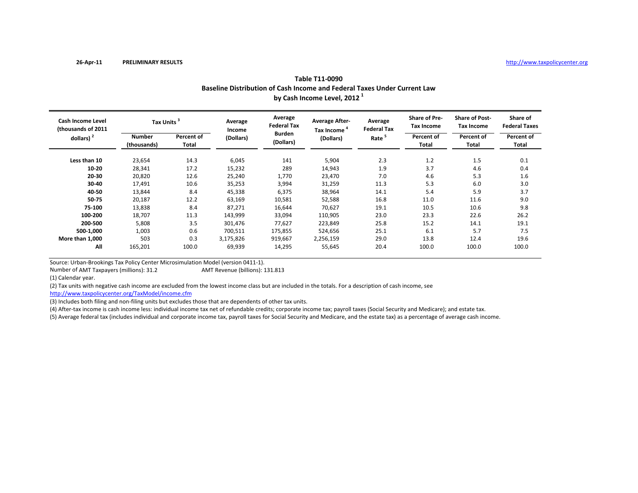| Table T11-0090                                                           |  |
|--------------------------------------------------------------------------|--|
| Baseline Distribution of Cash Income and Federal Taxes Under Current Law |  |
| by Cash Income Level, 2012 <sup>1</sup>                                  |  |

| <b>Cash Income Level</b><br>(thousands of 2011<br>dollars) $2$ | Tax Units <sup>3</sup> |                     | Average<br>Income | Average<br><b>Federal Tax</b> | <b>Average After-</b><br>Tax Income | Average<br><b>Federal Tax</b> | <b>Share of Pre-</b><br><b>Tax Income</b> | <b>Share of Post-</b><br><b>Tax Income</b> | Share of<br><b>Federal Taxes</b> |  |
|----------------------------------------------------------------|------------------------|---------------------|-------------------|-------------------------------|-------------------------------------|-------------------------------|-------------------------------------------|--------------------------------------------|----------------------------------|--|
|                                                                | Number<br>(thousands)  | Percent of<br>Total | (Dollars)         | <b>Burden</b><br>(Dollars)    | (Dollars)                           | Rate                          | Percent of<br>Total                       | Percent of<br>Total                        | Percent of<br><b>Total</b>       |  |
| Less than 10                                                   | 23,654                 | 14.3                | 6,045             | 141                           | 5,904                               | 2.3                           | 1.2                                       | 1.5                                        | 0.1                              |  |
| 10-20                                                          | 28,341                 | 17.2                | 15,232            | 289                           | 14,943                              | 1.9                           | 3.7                                       | 4.6                                        | 0.4                              |  |
| 20-30                                                          | 20,820                 | 12.6                | 25,240            | 1,770                         | 23,470                              | 7.0                           | 4.6                                       | 5.3                                        | 1.6                              |  |
| 30-40                                                          | 17,491                 | 10.6                | 35,253            | 3,994                         | 31,259                              | 11.3                          | 5.3                                       | 6.0                                        | 3.0                              |  |
| 40-50                                                          | 13,844                 | 8.4                 | 45,338            | 6,375                         | 38,964                              | 14.1                          | 5.4                                       | 5.9                                        | 3.7                              |  |
| 50-75                                                          | 20,187                 | 12.2                | 63,169            | 10,581                        | 52,588                              | 16.8                          | 11.0                                      | 11.6                                       | 9.0                              |  |
| 75-100                                                         | 13,838                 | 8.4                 | 87,271            | 16,644                        | 70,627                              | 19.1                          | 10.5                                      | 10.6                                       | 9.8                              |  |
| 100-200                                                        | 18,707                 | 11.3                | 143,999           | 33,094                        | 110,905                             | 23.0                          | 23.3                                      | 22.6                                       | 26.2                             |  |
| 200-500                                                        | 5,808                  | 3.5                 | 301,476           | 77,627                        | 223,849                             | 25.8                          | 15.2                                      | 14.1                                       | 19.1                             |  |
| 500-1,000                                                      | 1,003                  | 0.6                 | 700,511           | 175,855                       | 524,656                             | 25.1                          | 6.1                                       | 5.7                                        | 7.5                              |  |
| More than 1,000                                                | 503                    | 0.3                 | 3,175,826         | 919,667                       | 2,256,159                           | 29.0                          | 13.8                                      | 12.4                                       | 19.6                             |  |
| All                                                            | 165,201                | 100.0               | 69,939            | 14,295                        | 55,645                              | 20.4                          | 100.0                                     | 100.0                                      | 100.0                            |  |

Number of AMTAMT Revenue (billions): 131.813

(1) Calendar year.

(2) Tax units with negative cash income are excluded from the lowest income class but are included in the totals. For <sup>a</sup> description of cash income, see

http://www.taxpolicycenter.org/TaxModel/income.cfm

(3) Includes both filing and non-filing units but excludes those that are dependents of other tax units.

(4) After-tax income is cash income less: individual income tax net of refundable credits; corporate income tax; payroll taxes (Social Security and Medicare); and estate tax.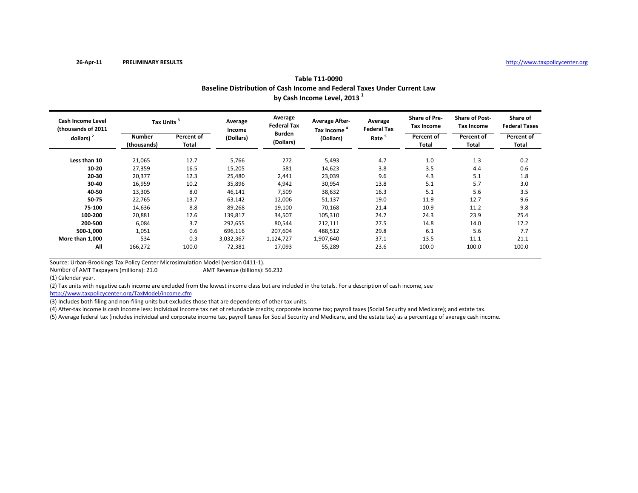| Table T11-0090                                                           |  |
|--------------------------------------------------------------------------|--|
| Baseline Distribution of Cash Income and Federal Taxes Under Current Law |  |
| by Cash Income Level, 2013 <sup>1</sup>                                  |  |

| <b>Cash Income Level</b><br>(thousands of 2011) | Tax Units <sup>3</sup>       |                     | Average<br>Income | Average<br><b>Federal Tax</b> | <b>Average After-</b><br>Tax Income | Average<br><b>Federal Tax</b> | <b>Share of Pre-</b><br>Tax Income | <b>Share of Post-</b><br><b>Tax Income</b> | Share of<br><b>Federal Taxes</b> |
|-------------------------------------------------|------------------------------|---------------------|-------------------|-------------------------------|-------------------------------------|-------------------------------|------------------------------------|--------------------------------------------|----------------------------------|
| dollars) $2$                                    | <b>Number</b><br>(thousands) | Percent of<br>Total | (Dollars)         | <b>Burden</b><br>(Dollars)    | (Dollars)                           | Rate <sup>5</sup>             | Percent of<br><b>Total</b>         | Percent of<br>Total                        | Percent of<br>Total              |
| Less than 10                                    | 21,065                       | 12.7                | 5,766             | 272                           | 5,493                               | 4.7                           | 1.0                                | 1.3                                        | 0.2                              |
| 10-20                                           | 27,359                       | 16.5                | 15,205            | 581                           | 14,623                              | 3.8                           | 3.5                                | 4.4                                        | 0.6                              |
| 20-30                                           | 20,377                       | 12.3                | 25,480            | 2,441                         | 23,039                              | 9.6                           | 4.3                                | 5.1                                        | 1.8                              |
| 30-40                                           | 16,959                       | 10.2                | 35,896            | 4,942                         | 30,954                              | 13.8                          | 5.1                                | 5.7                                        | 3.0                              |
| 40-50                                           | 13,305                       | 8.0                 | 46,141            | 7,509                         | 38,632                              | 16.3                          | 5.1                                | 5.6                                        | 3.5                              |
| 50-75                                           | 22,765                       | 13.7                | 63,142            | 12,006                        | 51,137                              | 19.0                          | 11.9                               | 12.7                                       | 9.6                              |
| 75-100                                          | 14,636                       | 8.8                 | 89,268            | 19,100                        | 70,168                              | 21.4                          | 10.9                               | 11.2                                       | 9.8                              |
| 100-200                                         | 20,881                       | 12.6                | 139,817           | 34,507                        | 105,310                             | 24.7                          | 24.3                               | 23.9                                       | 25.4                             |
| 200-500                                         | 6,084                        | 3.7                 | 292,655           | 80,544                        | 212,111                             | 27.5                          | 14.8                               | 14.0                                       | 17.2                             |
| 500-1,000                                       | 1,051                        | 0.6                 | 696,116           | 207,604                       | 488,512                             | 29.8                          | 6.1                                | 5.6                                        | 7.7                              |
| More than 1,000                                 | 534                          | 0.3                 | 3,032,367         | 1,124,727                     | 1,907,640                           | 37.1                          | 13.5                               | 11.1                                       | 21.1                             |
| All                                             | 166,272                      | 100.0               | 72,381            | 17,093                        | 55,289                              | 23.6                          | 100.0                              | 100.0                                      | 100.0                            |

Source: Urban‐Brookings Tax Policy Center Microsimulation Model (version 0411‐1). AMT Revenue (billions): 56.232

Number of AMT

(1) Calendar year.

(2) Tax units with negative cash income are excluded from the lowest income class but are included in the totals. For <sup>a</sup> description of cash income, see

http://www.taxpolicycenter.org/TaxModel/income.cfm

(3) Includes both filing and non-filing units but excludes those that are dependents of other tax units.

(4) After-tax income is cash income less: individual income tax net of refundable credits; corporate income tax; payroll taxes (Social Security and Medicare); and estate tax.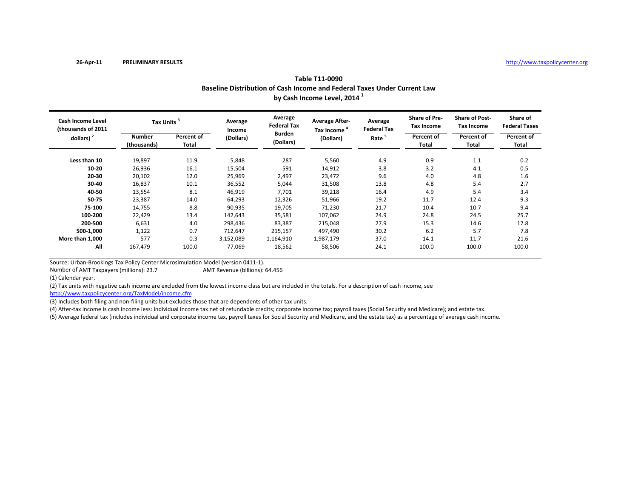| Table T11-0090                                                           |
|--------------------------------------------------------------------------|
| Baseline Distribution of Cash Income and Federal Taxes Under Current Law |
| by Cash Income Level, 2014 <sup>1</sup>                                  |

| <b>Cash Income Level</b><br>(thousands of 2011 | Tax Units <sup>3</sup> |                     | Average<br>Income | Average<br><b>Federal Tax</b> | <b>Average After-</b><br>Tax Income | Average<br><b>Federal Tax</b> | <b>Share of Pre-</b><br><b>Tax Income</b> | <b>Share of Post-</b><br><b>Tax Income</b> | Share of<br><b>Federal Taxes</b> |
|------------------------------------------------|------------------------|---------------------|-------------------|-------------------------------|-------------------------------------|-------------------------------|-------------------------------------------|--------------------------------------------|----------------------------------|
| dollars) $2$                                   | Number<br>(thousands)  | Percent of<br>Total | (Dollars)         | <b>Burden</b><br>(Dollars)    | (Dollars)                           | Rate                          | Percent of<br>Total                       | Percent of<br>Total                        | Percent of<br>Total              |
| Less than 10                                   | 19,897                 | 11.9                | 5,848             | 287                           | 5,560                               | 4.9                           | 0.9                                       | 1.1                                        | 0.2                              |
| 10-20                                          | 26,936                 | 16.1                | 15,504            | 591                           | 14,912                              | 3.8                           | 3.2                                       | 4.1                                        | 0.5                              |
| 20-30                                          | 20,102                 | 12.0                | 25,969            | 2,497                         | 23,472                              | 9.6                           | 4.0                                       | 4.8                                        | 1.6                              |
| 30-40                                          | 16,837                 | 10.1                | 36,552            | 5,044                         | 31,508                              | 13.8                          | 4.8                                       | 5.4                                        | 2.7                              |
| 40-50                                          | 13,554                 | 8.1                 | 46,919            | 7,701                         | 39,218                              | 16.4                          | 4.9                                       | 5.4                                        | 3.4                              |
| 50-75                                          | 23,387                 | 14.0                | 64,293            | 12,326                        | 51,966                              | 19.2                          | 11.7                                      | 12.4                                       | 9.3                              |
| 75-100                                         | 14,755                 | 8.8                 | 90,935            | 19,705                        | 71,230                              | 21.7                          | 10.4                                      | 10.7                                       | 9.4                              |
| 100-200                                        | 22,429                 | 13.4                | 142,643           | 35,581                        | 107,062                             | 24.9                          | 24.8                                      | 24.5                                       | 25.7                             |
| 200-500                                        | 6,631                  | 4.0                 | 298,436           | 83,387                        | 215,048                             | 27.9                          | 15.3                                      | 14.6                                       | 17.8                             |
| 500-1,000                                      | 1,122                  | 0.7                 | 712,647           | 215,157                       | 497,490                             | 30.2                          | 6.2                                       | 5.7                                        | 7.8                              |
| More than 1,000                                | 577                    | 0.3                 | 3,152,089         | 1,164,910                     | 1,987,179                           | 37.0                          | 14.1                                      | 11.7                                       | 21.6                             |
| All                                            | 167,479                | 100.0               | 77,069            | 18,562                        | 58,506                              | 24.1                          | 100.0                                     | 100.0                                      | 100.0                            |

Number of AMT

(1) Calendar year.

(2) Tax units with negative cash income are excluded from the lowest income class but are included in the totals. For <sup>a</sup> description of cash income, see AMT Revenue (billions): 64.456

http://www.taxpolicycenter.org/TaxModel/income.cfm

(3) Includes both filing and non-filing units but excludes those that are dependents of other tax units.

(4) After-tax income is cash income less: individual income tax net of refundable credits; corporate income tax; payroll taxes (Social Security and Medicare); and estate tax.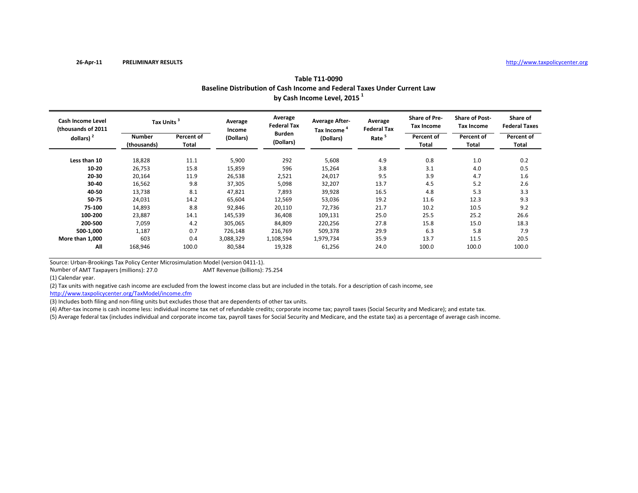| Table T11-0090                                                           |  |
|--------------------------------------------------------------------------|--|
| Baseline Distribution of Cash Income and Federal Taxes Under Current Law |  |
| by Cash Income Level, 2015 <sup>1</sup>                                  |  |

| <b>Cash Income Level</b><br>(thousands of 2011 | Tax Units <sup>3</sup> |                     | Average<br>Income | Average<br><b>Federal Tax</b> | <b>Average After-</b><br>Tax Income | Average<br><b>Federal Tax</b> | <b>Share of Pre-</b><br>Tax Income | <b>Share of Post-</b><br><b>Tax Income</b> | Share of<br><b>Federal Taxes</b> |  |
|------------------------------------------------|------------------------|---------------------|-------------------|-------------------------------|-------------------------------------|-------------------------------|------------------------------------|--------------------------------------------|----------------------------------|--|
| dollars) $2$                                   | Number<br>(thousands)  | Percent of<br>Total | (Dollars)         | <b>Burden</b><br>(Dollars)    | (Dollars)                           | Rate                          | Percent of<br>Total                | Percent of<br>Total                        | Percent of<br>Total              |  |
| Less than 10                                   | 18,828                 | 11.1                | 5,900             | 292                           | 5,608                               | 4.9                           | 0.8                                | 1.0                                        | 0.2                              |  |
| 10-20                                          | 26,753                 | 15.8                | 15,859            | 596                           | 15,264                              | 3.8                           | 3.1                                | 4.0                                        | 0.5                              |  |
| 20-30                                          | 20,164                 | 11.9                | 26,538            | 2,521                         | 24,017                              | 9.5                           | 3.9                                | 4.7                                        | 1.6                              |  |
| 30-40                                          | 16,562                 | 9.8                 | 37,305            | 5,098                         | 32,207                              | 13.7                          | 4.5                                | 5.2                                        | 2.6                              |  |
| 40-50                                          | 13,738                 | 8.1                 | 47,821            | 7,893                         | 39,928                              | 16.5                          | 4.8                                | 5.3                                        | 3.3                              |  |
| 50-75                                          | 24,031                 | 14.2                | 65,604            | 12,569                        | 53,036                              | 19.2                          | 11.6                               | 12.3                                       | 9.3                              |  |
| 75-100                                         | 14,893                 | 8.8                 | 92,846            | 20,110                        | 72,736                              | 21.7                          | 10.2                               | 10.5                                       | 9.2                              |  |
| 100-200                                        | 23,887                 | 14.1                | 145,539           | 36,408                        | 109,131                             | 25.0                          | 25.5                               | 25.2                                       | 26.6                             |  |
| 200-500                                        | 7,059                  | 4.2                 | 305,065           | 84,809                        | 220,256                             | 27.8                          | 15.8                               | 15.0                                       | 18.3                             |  |
| 500-1,000                                      | 1,187                  | 0.7                 | 726,148           | 216,769                       | 509,378                             | 29.9                          | 6.3                                | 5.8                                        | 7.9                              |  |
| More than 1,000                                | 603                    | 0.4                 | 3,088,329         | 1,108,594                     | 1,979,734                           | 35.9                          | 13.7                               | 11.5                                       | 20.5                             |  |
| All                                            | 168,946                | 100.0               | 80,584            | 19,328                        | 61,256                              | 24.0                          | 100.0                              | 100.0                                      | 100.0                            |  |

Number of AMT

(1) Calendar year.

(2) Tax units with negative cash income are excluded from the lowest income class but are included in the totals. For <sup>a</sup> description of cash income, see AMT Revenue (billions): 75.254

http://www.taxpolicycenter.org/TaxModel/income.cfm

(3) Includes both filing and non-filing units but excludes those that are dependents of other tax units.

(4) After-tax income is cash income less: individual income tax net of refundable credits; corporate income tax; payroll taxes (Social Security and Medicare); and estate tax.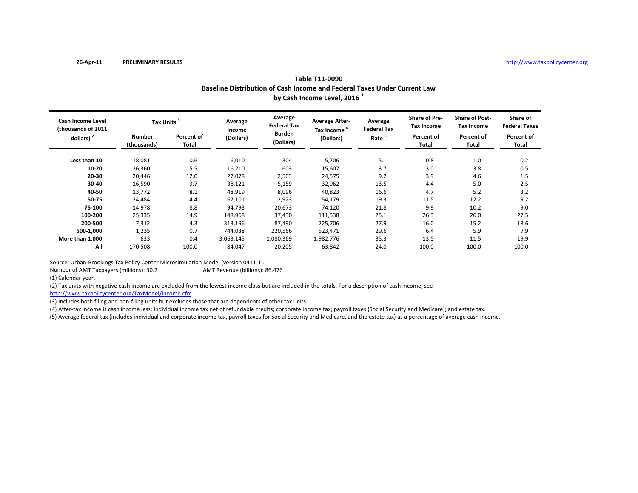| Table T11-0090                                                           |  |
|--------------------------------------------------------------------------|--|
| Baseline Distribution of Cash Income and Federal Taxes Under Current Law |  |
| by Cash Income Level, 2016 <sup>1</sup>                                  |  |

| <b>Cash Income Level</b><br>(thousands of 2011 | Tax Units <sup>3</sup> |                     | Average<br>Income | Average<br><b>Federal Tax</b> | <b>Average After-</b><br>Tax Income | Average<br><b>Federal Tax</b> | <b>Share of Pre-</b><br><b>Tax Income</b> | <b>Share of Post-</b><br><b>Tax Income</b> | Share of<br><b>Federal Taxes</b> |
|------------------------------------------------|------------------------|---------------------|-------------------|-------------------------------|-------------------------------------|-------------------------------|-------------------------------------------|--------------------------------------------|----------------------------------|
| dollars) $2$                                   | Number<br>(thousands)  | Percent of<br>Total | (Dollars)         | <b>Burden</b><br>(Dollars)    | (Dollars)                           | Rate                          | Percent of<br>Total                       | Percent of<br>Total                        | Percent of<br>Total              |
| Less than 10                                   | 18,081                 | 10.6                | 6,010             | 304                           | 5,706                               | 5.1                           | 0.8                                       | 1.0                                        | 0.2                              |
| 10-20                                          | 26,360                 | 15.5                | 16,210            | 603                           | 15,607                              | 3.7                           | 3.0                                       | 3.8                                        | 0.5                              |
| 20-30                                          | 20,446                 | 12.0                | 27,078            | 2,503                         | 24,575                              | 9.2                           | 3.9                                       | 4.6                                        | 1.5                              |
| 30-40                                          | 16,590                 | 9.7                 | 38,121            | 5,159                         | 32,962                              | 13.5                          | 4.4                                       | 5.0                                        | 2.5                              |
| 40-50                                          | 13,772                 | 8.1                 | 48,919            | 8,096                         | 40,823                              | 16.6                          | 4.7                                       | 5.2                                        | 3.2                              |
| 50-75                                          | 24,484                 | 14.4                | 67,101            | 12,923                        | 54,179                              | 19.3                          | 11.5                                      | 12.2                                       | 9.2                              |
| 75-100                                         | 14,978                 | 8.8                 | 94,793            | 20,673                        | 74,120                              | 21.8                          | 9.9                                       | 10.2                                       | 9.0                              |
| 100-200                                        | 25,335                 | 14.9                | 148,968           | 37,430                        | 111,538                             | 25.1                          | 26.3                                      | 26.0                                       | 27.5                             |
| 200-500                                        | 7,312                  | 4.3                 | 313,196           | 87,490                        | 225,706                             | 27.9                          | 16.0                                      | 15.2                                       | 18.6                             |
| 500-1,000                                      | 1,235                  | 0.7                 | 744,038           | 220,566                       | 523,471                             | 29.6                          | 6.4                                       | 5.9                                        | 7.9                              |
| More than 1.000                                | 633                    | 0.4                 | 3,063,145         | 1,080,369                     | 1,982,776                           | 35.3                          | 13.5                                      | 11.5                                       | 19.9                             |
| All                                            | 170,508                | 100.0               | 84,047            | 20,205                        | 63,842                              | 24.0                          | 100.0                                     | 100.0                                      | 100.0                            |

Number of AMT

(1) Calendar year.

(2) Tax units with negative cash income are excluded from the lowest income class but are included in the totals. For <sup>a</sup> description of cash income, see AMT Revenue (billions): 86.476

http://www.taxpolicycenter.org/TaxModel/income.cfm

(3) Includes both filing and non-filing units but excludes those that are dependents of other tax units.

(4) After-tax income is cash income less: individual income tax net of refundable credits; corporate income tax; payroll taxes (Social Security and Medicare); and estate tax.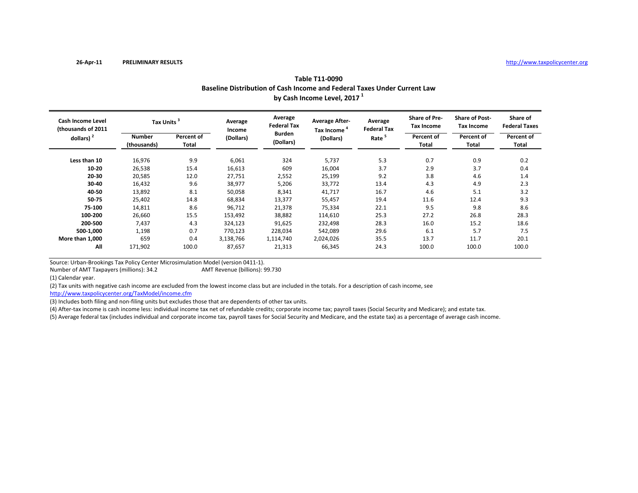|                                         |                              |                     |                   |                               | Baseline Distribution of Cash Income and Federal Taxes Under Current Law<br>by Cash Income Level, 2017 <sup>1</sup> |                               |                                    |                                            |                                  |
|-----------------------------------------|------------------------------|---------------------|-------------------|-------------------------------|---------------------------------------------------------------------------------------------------------------------|-------------------------------|------------------------------------|--------------------------------------------|----------------------------------|
| Cash Income Level<br>(thousands of 2011 | Tax Units <sup>3</sup>       |                     | Average<br>Income | Average<br><b>Federal Tax</b> | <b>Average After-</b><br>Tax Income <sup>4</sup>                                                                    | Average<br><b>Federal Tax</b> | <b>Share of Pre-</b><br>Tax Income | <b>Share of Post-</b><br><b>Tax Income</b> | Share of<br><b>Federal Taxes</b> |
| dollars) $2$                            | <b>Number</b><br>(thousands) | Percent of<br>Total | (Dollars)         | <b>Burden</b><br>(Dollars)    | (Dollars)                                                                                                           | Rate <sup>5</sup>             | Percent of<br>Total                | Percent of<br>Total                        | Percent of<br>Total              |
| Less than 10                            | 16,976                       | 9.9                 | 6,061             | 324                           | 5,737                                                                                                               | 5.3                           | 0.7                                | 0.9                                        | 0.2                              |
| 10-20                                   | 26,538                       | 15.4                | 16,613            | 609                           | 16,004                                                                                                              | 3.7                           | 2.9                                | 3.7                                        | 0.4                              |
| 20-30                                   | 20,585                       | 12.0                | 27,751            | 2,552                         | 25,199                                                                                                              | 9.2                           | 3.8                                | 4.6                                        | 1.4                              |
| 30-40                                   | 16,432                       | 9.6                 | 38,977            | 5,206                         | 33,772                                                                                                              | 13.4                          | 4.3                                | 4.9                                        | 2.3                              |
| 40-50                                   | 13,892                       | 8.1                 | 50,058            | 8,341                         | 41.717                                                                                                              | 16.7                          | 4.6                                | 5.1                                        | 3.2                              |
| 50-75                                   | 25,402                       | 14.8                | 68,834            | 13,377                        | 55,457                                                                                                              | 19.4                          | 11.6                               | 12.4                                       | 9.3                              |

14,811 8.6 96,712 21,378 75,334 22.1 9.5 9.8 8.6

26,660 15.5 153,492 38,882 114,610 25.3 27.2 26.8 28.3

 7,437 4.3 324,123 91,625 232,498 28.3 16.0 15.2 18.6 **500‐1,000** 1,198 0.7 770,123 228,034 542,089 29.6 6.1 5.7 7.5

171,902 100.0 87,657 21,313 66,345 24.3 100.0 100.0 100.0

**1,000** 659 0.4 3,138,766 1,114,740 2,024,026 35.5 13.7 11.7 20.1

## **Table T11‐0090**

Source: Urban‐Brookings Tax Policy Center Microsimulation Model (version 0411‐1).

Number of AMTAMT Revenue (billions): 99.730

(1) Calendar year.

**More than**

**75‐100**

**100‐200**

**200‐500**

**All**

(2) Tax units with negative cash income are excluded from the lowest income class but are included in the totals. For <sup>a</sup> description of cash income, see

http://www.taxpolicycenter.org/TaxModel/income.cfm

(3) Includes both filing and non-filing units but excludes those that are dependents of other tax units.

(4) After-tax income is cash income less: individual income tax net of refundable credits; corporate income tax; payroll taxes (Social Security and Medicare); and estate tax.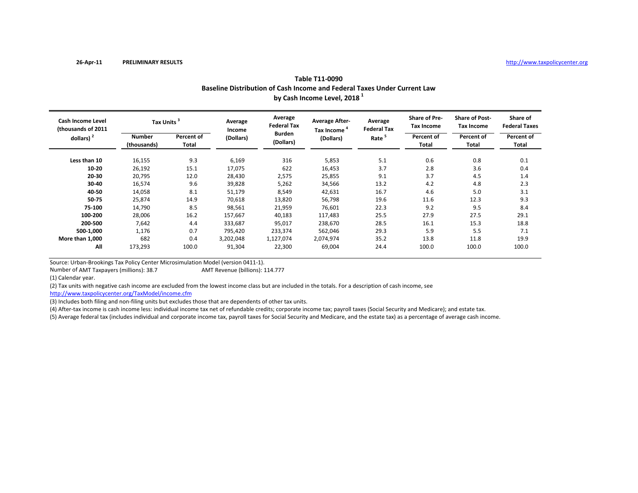|                                                | Baseline Distribution of Cash Income and Federal Taxes Under Current Law<br>by Cash Income Level, 2018 <sup>1</sup> |                     |                   |                               |                                                  |                               |                                           |                                            |                                  |  |  |  |  |
|------------------------------------------------|---------------------------------------------------------------------------------------------------------------------|---------------------|-------------------|-------------------------------|--------------------------------------------------|-------------------------------|-------------------------------------------|--------------------------------------------|----------------------------------|--|--|--|--|
| <b>Cash Income Level</b><br>(thousands of 2011 | Tax Units <sup>3</sup>                                                                                              |                     | Average<br>Income | Average<br><b>Federal Tax</b> | <b>Average After-</b><br>Tax Income <sup>4</sup> | Average<br><b>Federal Tax</b> | <b>Share of Pre-</b><br><b>Tax Income</b> | <b>Share of Post-</b><br><b>Tax Income</b> | Share of<br><b>Federal Taxes</b> |  |  |  |  |
| dollars) $2$                                   | <b>Number</b><br>(thousands)                                                                                        | Percent of<br>Total | (Dollars)         | <b>Burden</b><br>(Dollars)    | (Dollars)                                        | Rate <sup>5</sup>             | Percent of<br>Total                       | Percent of<br>Total                        | Percent of<br>Total              |  |  |  |  |
| Less than 10                                   | 16,155                                                                                                              | 9.3                 | 6,169             | 316                           | 5,853                                            | 5.1                           | 0.6                                       | 0.8                                        | 0.1                              |  |  |  |  |
| 10-20                                          | 26,192                                                                                                              | 15.1                | 17,075            | 622                           | 16,453                                           | 3.7                           | 2.8                                       | 3.6                                        | 0.4                              |  |  |  |  |
| 20-30                                          | 20,795                                                                                                              | 12.0                | 28,430            | 2,575                         | 25,855                                           | 9.1                           | 3.7                                       | 4.5                                        | 1.4                              |  |  |  |  |
| 30-40                                          | 16,574                                                                                                              | 9.6                 | 39,828            | 5,262                         | 34,566                                           | 13.2                          | 4.2                                       | 4.8                                        | 2.3                              |  |  |  |  |
| 40-50                                          | 14,058                                                                                                              | 8.1                 | 51,179            | 8,549                         | 42,631                                           | 16.7                          | 4.6                                       | 5.0                                        | 3.1                              |  |  |  |  |
| 50-75                                          | 25,874                                                                                                              | 14.9                | 70,618            | 13,820                        | 56,798                                           | 19.6                          | 11.6                                      | 12.3                                       | 9.3                              |  |  |  |  |
| 75-100                                         | 14,790                                                                                                              | 8.5                 | 98,561            | 21,959                        | 76,601                                           | 22.3                          | 9.2                                       | 9.5                                        | 8.4                              |  |  |  |  |
| 100-200                                        | 28,006                                                                                                              | 16.2                | 157,667           | 40,183                        | 117,483                                          | 25.5                          | 27.9                                      | 27.5                                       | 29.1                             |  |  |  |  |
| 200-500                                        | 7,642                                                                                                               | 4.4                 | 333,687           | 95,017                        | 238,670                                          | 28.5                          | 16.1                                      | 15.3                                       | 18.8                             |  |  |  |  |
| 500-1,000                                      | 1,176                                                                                                               | 0.7                 | 795,420           | 233,374                       | 562,046                                          | 29.3                          | 5.9                                       | 5.5                                        | 7.1                              |  |  |  |  |
| More than 1,000                                | 682                                                                                                                 | 0.4                 | 3,202,048         | 1,127,074                     | 2,074,974                                        | 35.2                          | 13.8                                      | 11.8                                       | 19.9                             |  |  |  |  |
| All                                            | 173,293                                                                                                             | 100.0               | 91,304            | 22,300                        | 69,004                                           | 24.4                          | 100.0                                     | 100.0                                      | 100.0                            |  |  |  |  |

**Table T11‐0090**

Source: Urban‐Brookings Tax Policy Center Microsimulation Model (version 0411‐1).

Number of AMTAMT Revenue (billions): 114.777

(1) Calendar year.

(2) Tax units with negative cash income are excluded from the lowest income class but are included in the totals. For <sup>a</sup> description of cash income, see

http://www.taxpolicycenter.org/TaxModel/income.cfm

(3) Includes both filing and non‐filing units but excludes those that are dependents of other tax units.

(4) After-tax income is cash income less: individual income tax net of refundable credits; corporate income tax; payroll taxes (Social Security and Medicare); and estate tax.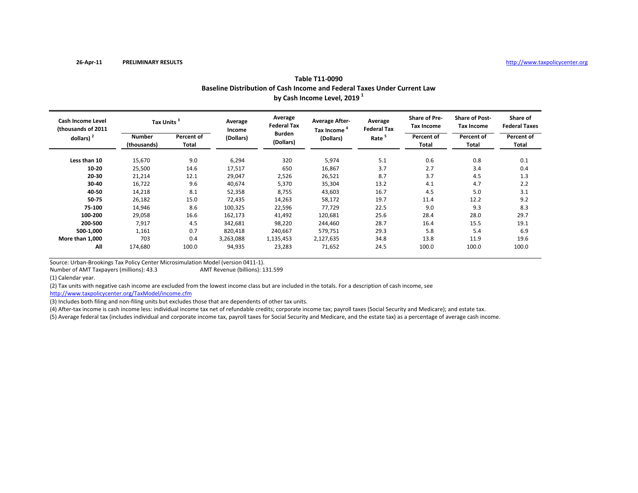|                                         | Baseline Distribution of Cash Income and Federal Taxes Under Current Law<br>by Cash Income Level, 2019 <sup>1</sup><br><b>Share of Pre-</b><br>Average<br><b>Average After-</b><br>Average<br>Tax Units <sup>3</sup><br>Average<br><b>Federal Tax</b><br><b>Tax Income</b><br><b>Federal Tax</b><br>Tax Income <sup>4</sup><br>Income<br><b>Burden</b><br>Percent of<br><b>Number</b><br>Percent of<br>Rate <sup>5</sup><br>(Dollars)<br>(Dollars)<br>(Dollars)<br>Total<br>(thousands)<br>Total<br>320<br>5.1<br>15.670<br>9.0<br>0.6<br>6,294<br>5.974<br>3.7<br>650<br>2.7<br>16,867<br>25,500<br>14.6<br>17,517<br>8.7<br>3.7<br>26,521<br>21,214<br>12.1<br>29,047<br>2,526<br>9.6<br>13.2<br>40.674 |     |        |       |        |      |     |                                            |                                  |
|-----------------------------------------|-----------------------------------------------------------------------------------------------------------------------------------------------------------------------------------------------------------------------------------------------------------------------------------------------------------------------------------------------------------------------------------------------------------------------------------------------------------------------------------------------------------------------------------------------------------------------------------------------------------------------------------------------------------------------------------------------------------|-----|--------|-------|--------|------|-----|--------------------------------------------|----------------------------------|
| Cash Income Level<br>(thousands of 2011 |                                                                                                                                                                                                                                                                                                                                                                                                                                                                                                                                                                                                                                                                                                           |     |        |       |        |      |     | <b>Share of Post-</b><br><b>Tax Income</b> | Share of<br><b>Federal Taxes</b> |
| dollars) $2$                            |                                                                                                                                                                                                                                                                                                                                                                                                                                                                                                                                                                                                                                                                                                           |     |        |       |        |      |     | Percent of<br>Total                        | Percent of<br>Total              |
| Less than 10                            |                                                                                                                                                                                                                                                                                                                                                                                                                                                                                                                                                                                                                                                                                                           |     |        |       |        |      |     | 0.8                                        | 0.1                              |
| 10-20                                   |                                                                                                                                                                                                                                                                                                                                                                                                                                                                                                                                                                                                                                                                                                           |     |        |       |        |      |     | 3.4                                        | 0.4                              |
| 20-30                                   |                                                                                                                                                                                                                                                                                                                                                                                                                                                                                                                                                                                                                                                                                                           |     |        |       |        |      |     | 4.5                                        | 1.3                              |
| 30-40                                   | 16,722                                                                                                                                                                                                                                                                                                                                                                                                                                                                                                                                                                                                                                                                                                    |     |        | 5,370 | 35,304 |      | 4.1 | 4.7                                        | 2.2                              |
| 40-50                                   | 14.218                                                                                                                                                                                                                                                                                                                                                                                                                                                                                                                                                                                                                                                                                                    | 8.1 | 52.358 | 8.755 | 43.603 | 16.7 | 4.5 | 5.0                                        | 3.1                              |

14,218 8.1 52,358 8,755 43,603 16.7 4.5 5.0 3.1

26,182 15.0 72,435 14,263 58,172 19.7 11.4 12.2 9.2

14,946 8.6 100,325 22,596 77,729 22.5 9.0 9.3 8.3

29,058 16.6 162,173 41,492 120,681 25.6 28.4 28.0 29.7

 7,917 4.5 342,681 98,220 244,460 28.7 16.4 15.5 19.1 **500‐1,000** 1,161 0.7 820,418 240,667 579,751 29.3 5.8 5.4 6.9

174,680 100.0 94,935 23,283 71,652 24.5 100.0 100.0 100.0

**11,000** 703 0.4 3,263,088 1,135,453 2,127,635 34.8 13.8 11.9 19.6

## **Table T11‐0090**

Source: Urban‐Brookings Tax Policy Center Microsimulation Model (version 0411‐1).

Number of AMT

**50‐75**

**75‐100**

**100‐200**

**200‐500**

**All**

(1) Calendar year.

**More than**

(2) Tax units with negative cash income are excluded from the lowest income class but are included in the totals. For <sup>a</sup> description of cash income, see AMT Revenue (billions): 131.599

http://www.taxpolicycenter.org/TaxModel/income.cfm

(3) Includes both filing and non-filing units but excludes those that are dependents of other tax units.

(4) After‐tax income is cash income less: individual income tax net of refundable credits; corporate income tax; payroll taxes (Social Security and Medicare); and estate tax.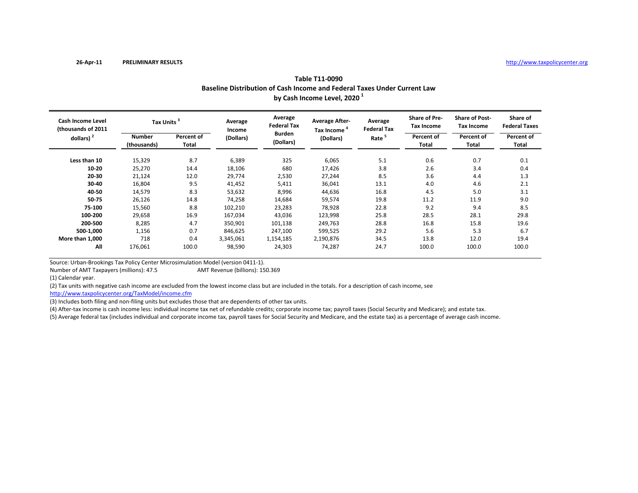|                                                |                        |                     |                   |                               | Baseline Distribution of Cash Income and Federal Taxes Under Current Law<br>by Cash Income Level, 2020 <sup>1</sup> |                               |                                    |                                            |                                  |
|------------------------------------------------|------------------------|---------------------|-------------------|-------------------------------|---------------------------------------------------------------------------------------------------------------------|-------------------------------|------------------------------------|--------------------------------------------|----------------------------------|
| <b>Cash Income Level</b><br>(thousands of 2011 | Tax Units <sup>3</sup> |                     | Average<br>Income | Average<br><b>Federal Tax</b> | <b>Average After-</b><br>Tax Income "                                                                               | Average<br><b>Federal Tax</b> | <b>Share of Pre-</b><br>Tax Income | <b>Share of Post-</b><br><b>Tax Income</b> | Share of<br><b>Federal Taxes</b> |
| dollars) $2$                                   | Number<br>(thousands)  | Percent of<br>Total | (Dollars)         | <b>Burden</b><br>(Dollars)    | (Dollars)                                                                                                           | Rate <sup>5</sup>             | Percent of<br>Total                | Percent of<br>Total                        | Percent of<br>Total              |
| Less than 10                                   | 15,329                 | 8.7                 | 6,389             | 325                           | 6,065                                                                                                               | 5.1                           | 0.6                                | 0.7                                        | 0.1                              |
| 10-20                                          | 25,270                 | 14.4                | 18,106            | 680                           | 17,426                                                                                                              | 3.8                           | 2.6                                | 3.4                                        | 0.4                              |
| 20-30                                          | 21,124                 | 12.0                | 29,774            | 2,530                         | 27,244                                                                                                              | 8.5                           | 3.6                                | 4.4                                        | 1.3                              |
| 30-40                                          | 16,804                 | 9.5                 | 41,452            | 5,411                         | 36,041                                                                                                              | 13.1                          | 4.0                                | 4.6                                        | 2.1                              |
| 40-50                                          | 14,579                 | 8.3                 | 53,632            | 8,996                         | 44,636                                                                                                              | 16.8                          | 4.5                                | 5.0                                        | 3.1                              |
| 50-75                                          | 26,126                 | 14.8                | 74,258            | 14,684                        | 59,574                                                                                                              | 19.8                          | 11.2                               | 11.9                                       | 9.0                              |
| 75-100                                         | 15,560                 | 8.8                 | 102,210           | 23,283                        | 78,928                                                                                                              | 22.8                          | 9.2                                | 9.4                                        | 8.5                              |
| 100-200                                        | 29,658                 | 16.9                | 167,034           | 43,036                        | 123,998                                                                                                             | 25.8                          | 28.5                               | 28.1                                       | 29.8                             |
| 200-500                                        | 8,285                  | 4.7                 | 350,901           | 101,138                       | 249,763                                                                                                             | 28.8                          | 16.8                               | 15.8                                       | 19.6                             |
| 500-1,000                                      | 1,156                  | 0.7                 | 846,625           | 247,100                       | 599,525                                                                                                             | 29.2                          | 5.6                                | 5.3                                        | 6.7                              |
| More than 1,000                                | 718                    | 0.4                 | 3,345,061         | 1,154,185                     | 2,190,876                                                                                                           | 34.5                          | 13.8                               | 12.0                                       | 19.4                             |
| All                                            | 176,061                | 100.0               | 98,590            | 24,303                        | 74,287                                                                                                              | 24.7                          | 100.0                              | 100.0                                      | 100.0                            |

**Table T11‐0090**

Number of AMTAMT Revenue (billions): 150.369

(1) Calendar year.

(2) Tax units with negative cash income are excluded from the lowest income class but are included in the totals. For <sup>a</sup> description of cash income, see

http://www.taxpolicycenter.org/TaxModel/income.cfm

(3) Includes both filing and non-filing units but excludes those that are dependents of other tax units.

(4) After-tax income is cash income less: individual income tax net of refundable credits; corporate income tax; payroll taxes (Social Security and Medicare); and estate tax.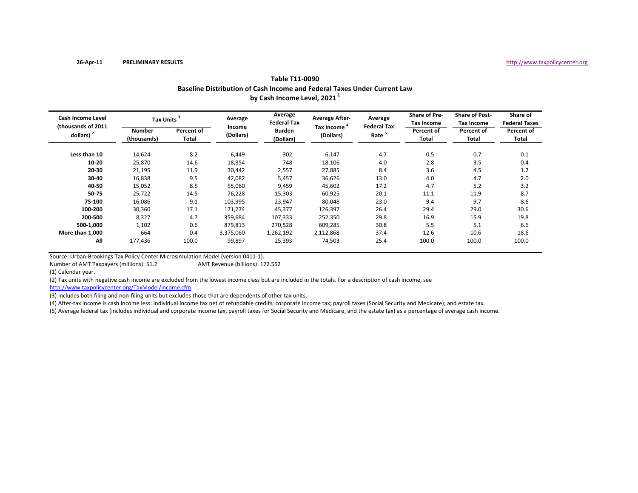| Cash Income Level<br>(thousands of 2011) | Tax Units <sup>3</sup> |                     | Average             | Average<br><b>Federal Tax</b> | <b>Average After-</b>                | Average<br><b>Federal Tax</b> | Share of Pre-<br>Tax Income | <b>Share of Post-</b><br><b>Tax Income</b> | Share of<br><b>Federal Taxes</b> |
|------------------------------------------|------------------------|---------------------|---------------------|-------------------------------|--------------------------------------|-------------------------------|-----------------------------|--------------------------------------------|----------------------------------|
| dollars) $2$                             | Number<br>(thousands)  | Percent of<br>Total | Income<br>(Dollars) | <b>Burden</b><br>(Dollars)    | Tax Income <sup>4</sup><br>(Dollars) | Rate <sup>5</sup>             | Percent of<br>Total         | Percent of<br>Total                        | Percent of<br>Total              |
| Less than 10                             | 14,624                 | 8.2                 | 6,449               | 302                           | 6,147                                | 4.7                           | 0.5                         | 0.7                                        | 0.1                              |
| $10 - 20$                                | 25,870                 | 14.6                | 18,854              | 748                           | 18,106                               | 4.0                           | 2.8                         | 3.5                                        | 0.4                              |
| 20-30                                    | 21,195                 | 11.9                | 30,442              | 2,557                         | 27,885                               | 8.4                           | 3.6                         | 4.5                                        | 1.2                              |
| 30-40                                    | 16,838                 | 9.5                 | 42,082              | 5,457                         | 36,626                               | 13.0                          | 4.0                         | 4.7                                        | 2.0                              |
| 40-50                                    | 15,052                 | 8.5                 | 55,060              | 9,459                         | 45,602                               | 17.2                          | 4.7                         | 5.2                                        | 3.2                              |
| 50-75                                    | 25,722                 | 14.5                | 76,228              | 15,303                        | 60,925                               | 20.1                          | 11.1                        | 11.9                                       | 8.7                              |
| 75-100                                   | 16,086                 | 9.1                 | 103,995             | 23,947                        | 80,048                               | 23.0                          | 9.4                         | 9.7                                        | 8.6                              |
| 100-200                                  | 30,360                 | 17.1                | 171,774             | 45,377                        | 126,397                              | 26.4                          | 29.4                        | 29.0                                       | 30.6                             |
| 200-500                                  | 8,327                  | 4.7                 | 359,684             | 107,333                       | 252,350                              | 29.8                          | 16.9                        | 15.9                                       | 19.8                             |
| 500-1,000                                | 1,102                  | 0.6                 | 879,813             | 270,528                       | 609,285                              | 30.8                          | 5.5                         | 5.1                                        | 6.6                              |
| More than 1,000                          | 664                    | 0.4                 | 3,375,060           | 1,262,192                     | 2,112,868                            | 37.4                          | 12.6                        | 10.6                                       | 18.6                             |
| All                                      | 177,436                | 100.0               | 99,897              | 25,393                        | 74,503                               | 25.4                          | 100.0                       | 100.0                                      | 100.0                            |

**Table T11‐0090 Baseline Distribution of Cash Income and Federal Taxes Under Current Law by Cash Income Level, <sup>2021</sup> <sup>1</sup>**

Number of AMTAMT Revenue (billions): 172.552

(1) Calendar year.

(2) Tax units with negative cash income are excluded from the lowest income class but are included in the totals. For <sup>a</sup> description of cash income, see

http://www.taxpolicycenter.org/TaxModel/income.cfm

(3) Includes both filing and non‐filing units but excludes those that are dependents of other tax units.

(4) After‐tax income is cash income less: individual income tax net of refundable credits; corporate income tax; payroll taxes (Social Security and Medicare); and estate tax.